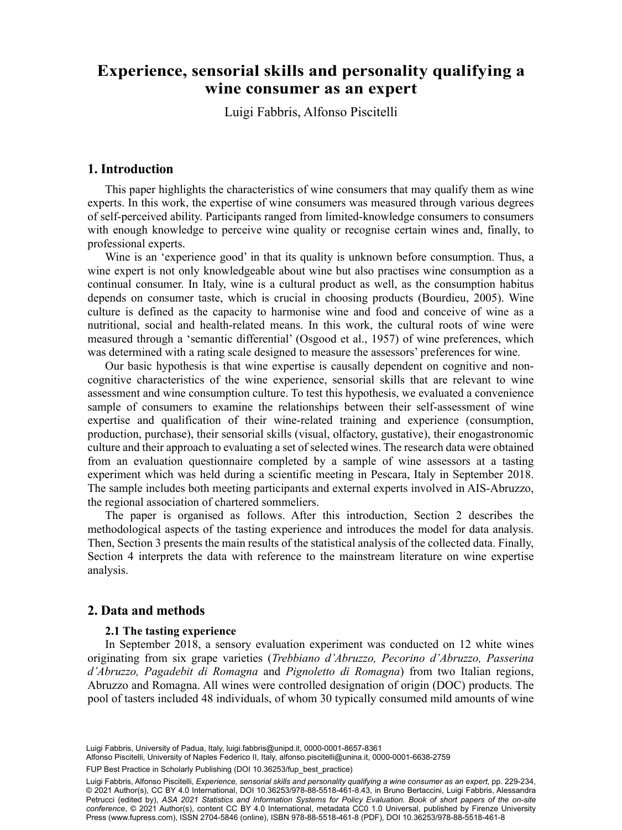# Luigi Fabbrisa , Alfonso Piscitellib wine consumer as an expert **Experience, sensorial skills and personality qualifying a**

Luigi Fabbris, Alfonso Piscitelli

### **1. Introduction**

This paper highlights the characteristics of wine consumers that may qualify them as wine experts. In this work, the expertise of wine consumers was measured through various degrees of self-perceived ability. Participants ranged from limited-knowledge consumers to consumers with enough knowledge to perceive wine quality or recognise certain wines and, finally, to professional experts.

Wine is an 'experience good' in that its quality is unknown before consumption. Thus, a wine expert is not only knowledgeable about wine but also practises wine consumption as a continual consumer. In Italy, wine is a cultural product as well, as the consumption habitus depends on consumer taste, which is crucial in choosing products (Bourdieu, 2005). Wine culture is defined as the capacity to harmonise wine and food and conceive of wine as a nutritional, social and health-related means. In this work, the cultural roots of wine were measured through a 'semantic differential' (Osgood et al., 1957) of wine preferences, which was determined with a rating scale designed to measure the assessors' preferences for wine.

Our basic hypothesis is that wine expertise is causally dependent on cognitive and noncognitive characteristics of the wine experience, sensorial skills that are relevant to wine assessment and wine consumption culture. To test this hypothesis, we evaluated a convenience sample of consumers to examine the relationships between their self-assessment of wine expertise and qualification of their wine-related training and experience (consumption, production, purchase), their sensorial skills (visual, olfactory, gustative), their enogastronomic culture and their approach to evaluating a set of selected wines. The research data were obtained from an evaluation questionnaire completed by a sample of wine assessors at a tasting experiment which was held during a scientific meeting in Pescara, Italy in September 2018. The sample includes both meeting participants and external experts involved in AIS-Abruzzo, the regional association of chartered sommeliers.

The paper is organised as follows. After this introduction, Section 2 describes the methodological aspects of the tasting experience and introduces the model for data analysis. Then, Section 3 presents the main results of the statistical analysis of the collected data. Finally, Section 4 interprets the data with reference to the mainstream literature on wine expertise analysis.

## **2. Data and methods**

#### **2.1 The tasting experience**

In September 2018, a sensory evaluation experiment was conducted on 12 white wines originating from six grape varieties (*Trebbiano d'Abruzzo, Pecorino d'Abruzzo, Passerina d'Abruzzo, Pagadebit di Romagna* and *Pignoletto di Romagna*) from two Italian regions, Abruzzo and Romagna. All wines were controlled designation of origin (DOC) products. The pool of tasters included 48 individuals, of whom 30 typically consumed mild amounts of wine

213 Luigi Fabbris, University of Padua, Italy, [luigi.fabbris@unipd.it](mailto:luigi.fabbris@unipd.it), [0000-0001-8657-8361](https://orcid.org/0000-0001-8657-8361)

Alfonso Piscitelli, University of Naples Federico II, Italy, [alfonso.piscitelli@unina.it](mailto:alfonso.piscitelli@unina.it), [0000-0001-6638-2759](https://orcid.org/0000-0001-6638-2759)

FUP Best Practice in Scholarly Publishing (DOI [10.36253/fup\\_best\\_practice](https://doi.org/10.36253/fup_best_practice))

Luigi Fabbris, Alfonso Piscitelli, *Experience, sensorial skills and personality qualifying a wine consumer as an expert*, pp. 229-234, © 2021 Author(s), [CC BY 4.0 International](http://creativecommons.org/licenses/by/4.0/legalcode), DOI [10.36253/978-88-5518-461-8.43,](https://doi.org/10.36253/978-88-5518-461-8.43) in Bruno Bertaccini, Luigi Fabbris, Alessandra Petrucci (edited by), *ASA 2021 Statistics and Information Systems for Policy Evaluation. Book of short papers of the on-site conference*, © 2021 Author(s), content [CC BY 4.0 International,](http://creativecommons.org/licenses/by/4.0/legalcode) metadata [CC0 1.0 Universal,](https://creativecommons.org/publicdomain/zero/1.0/legalcode) published by Firenze University Press ([www.fupress.com\)](http://www.fupress.com), ISSN 2704-5846 (online), ISBN 978-88-5518-461-8 (PDF), DOI [10.36253/978-88-5518-461-8](https://doi.org/10.36253/978-88-5518-461-8)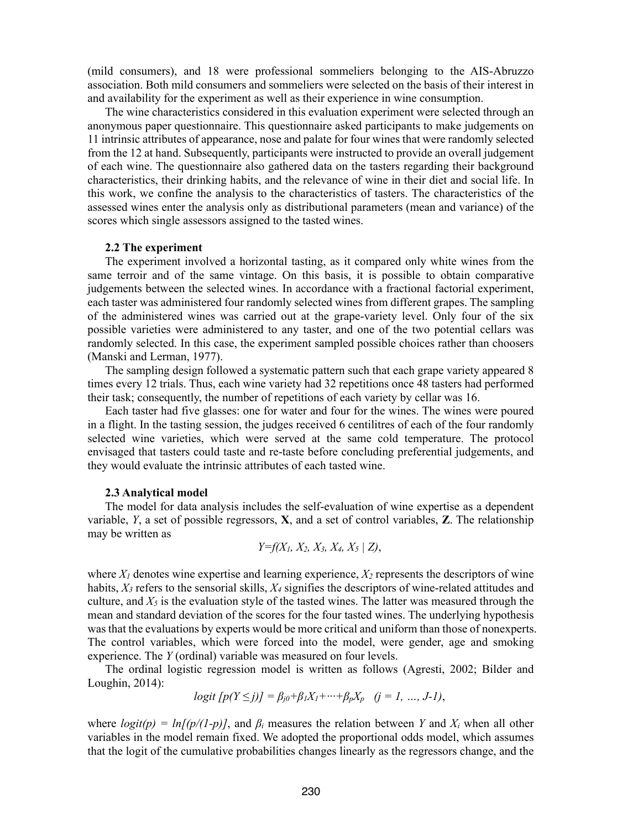(mild consumers), and 18 were professional sommeliers belonging to the AIS-Abruzzo association. Both mild consumers and sommeliers were selected on the basis of their interest in and availability for the experiment as well as their experience in wine consumption.

The wine characteristics considered in this evaluation experiment were selected through an anonymous paper questionnaire. This questionnaire asked participants to make judgements on 11 intrinsic attributes of appearance, nose and palate for four wines that were randomly selected from the 12 at hand. Subsequently, participants were instructed to provide an overall judgement of each wine. The questionnaire also gathered data on the tasters regarding their background characteristics, their drinking habits, and the relevance of wine in their diet and social life. In this work, we confine the analysis to the characteristics of tasters. The characteristics of the assessed wines enter the analysis only as distributional parameters (mean and variance) of the scores which single assessors assigned to the tasted wines.

#### **2.2 The experiment**

The experiment involved a horizontal tasting, as it compared only white wines from the same terroir and of the same vintage. On this basis, it is possible to obtain comparative judgements between the selected wines. In accordance with a fractional factorial experiment, each taster was administered four randomly selected wines from different grapes. The sampling of the administered wines was carried out at the grape-variety level. Only four of the six possible varieties were administered to any taster, and one of the two potential cellars was randomly selected. In this case, the experiment sampled possible choices rather than choosers (Manski and Lerman, 1977).

The sampling design followed a systematic pattern such that each grape variety appeared 8 times every 12 trials. Thus, each wine variety had 32 repetitions once 48 tasters had performed their task; consequently, the number of repetitions of each variety by cellar was 16.

Each taster had five glasses: one for water and four for the wines. The wines were poured in a flight. In the tasting session, the judges received 6 centilitres of each of the four randomly selected wine varieties, which were served at the same cold temperature. The protocol envisaged that tasters could taste and re-taste before concluding preferential judgements, and they would evaluate the intrinsic attributes of each tasted wine.

#### **2.3 Analytical model**

The model for data analysis includes the self-evaluation of wine expertise as a dependent variable, *Y*, a set of possible regressors, **X**, and a set of control variables, **Z**. The relationship may be written as

$$
Y=f(X_1, X_2, X_3, X_4, X_5 | Z),
$$

where  $X_l$  denotes wine expertise and learning experience,  $X_2$  represents the descriptors of wine habits,  $X_3$  refers to the sensorial skills,  $X_4$  signifies the descriptors of wine-related attitudes and culture, and  $X_5$  is the evaluation style of the tasted wines. The latter was measured through the mean and standard deviation of the scores for the four tasted wines. The underlying hypothesis was that the evaluations by experts would be more critical and uniform than those of nonexperts. The control variables, which were forced into the model, were gender, age and smoking experience. The *Y* (ordinal) variable was measured on four levels.

The ordinal logistic regression model is written as follows (Agresti, 2002; Bilder and Loughin, 2014):

$$
logit [p(Y \le j)] = \beta_{j0} + \beta_1 X_1 + \dots + \beta_p X_p
$$
  $(j = 1, ..., J-1),$ 

where  $logit(p) = ln[(p/(1-p))]$ , and  $\beta_i$  measures the relation between *Y* and  $X_i$  when all other variables in the model remain fixed. We adopted the proportional odds model, which assumes that the logit of the cumulative probabilities changes linearly as the regressors change, and the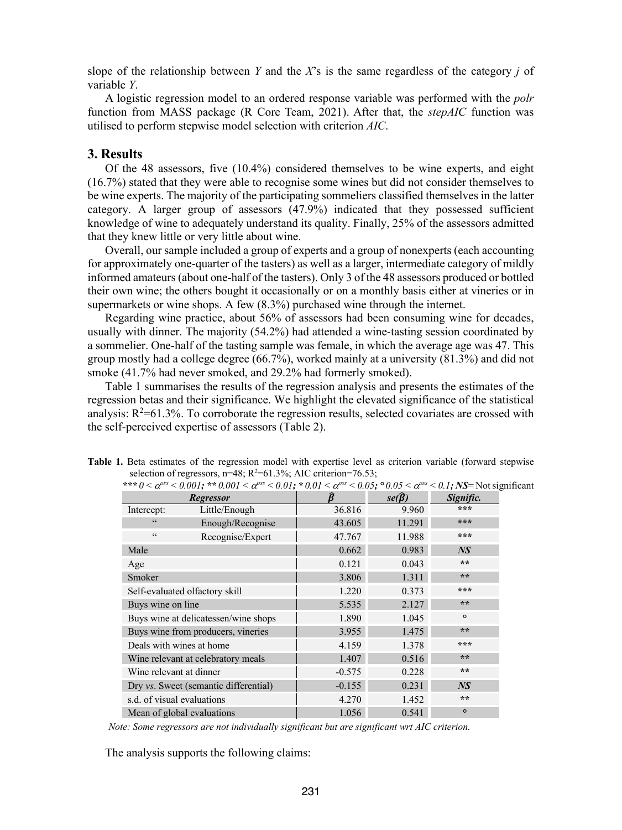slope of the relationship between *Y* and the *X*'s is the same regardless of the category *j* of variable *Y*.

A logistic regression model to an ordered response variable was performed with the *polr* function from MASS package (R Core Team, 2021). After that, the *stepAIC* function was utilised to perform stepwise model selection with criterion *AIC*.

## **3. Results**

Of the 48 assessors, five (10.4%) considered themselves to be wine experts, and eight (16.7%) stated that they were able to recognise some wines but did not consider themselves to be wine experts. The majority of the participating sommeliers classified themselves in the latter category. A larger group of assessors (47.9%) indicated that they possessed sufficient knowledge of wine to adequately understand its quality. Finally, 25% of the assessors admitted that they knew little or very little about wine.

Overall, our sample included a group of experts and a group of nonexperts (each accounting for approximately one-quarter of the tasters) as well as a larger, intermediate category of mildly informed amateurs (about one-half of the tasters). Only 3 of the 48 assessors produced or bottled their own wine; the others bought it occasionally or on a monthly basis either at vineries or in supermarkets or wine shops. A few (8.3%) purchased wine through the internet.

Regarding wine practice, about 56% of assessors had been consuming wine for decades, usually with dinner. The majority (54.2%) had attended a wine-tasting session coordinated by a sommelier. One-half of the tasting sample was female, in which the average age was 47. This group mostly had a college degree (66.7%), worked mainly at a university (81.3%) and did not smoke (41.7% had never smoked, and 29.2% had formerly smoked).

Table 1 summarises the results of the regression analysis and presents the estimates of the regression betas and their significance. We highlight the elevated significance of the statistical analysis:  $R^2$ =61.3%. To corroborate the regression results, selected covariates are crossed with the self-perceived expertise of assessors (Table 2).

|                                | <b>Regressor</b>                      |          | $se(\hat{\beta})$ | Signific.      |
|--------------------------------|---------------------------------------|----------|-------------------|----------------|
| Intercept:                     | Little/Enough                         | 36.816   | 9.960             | ***            |
| 66                             | Enough/Recognise                      | 43.605   | 11.291            | ***            |
| $\zeta$ $\zeta$                | Recognise/Expert                      | 47.767   | 11.988            | ***            |
| Male                           |                                       | 0.662    | 0.983             | N <sub>S</sub> |
| Age                            |                                       | 0.121    | 0.043             | **             |
| Smoker                         |                                       | 3.806    | 1.311             | **             |
| Self-evaluated olfactory skill |                                       | 1.220    | 0.373             | ***            |
| Buys wine on line              |                                       | 5.535    | 2.127             | $* *$          |
|                                | Buys wine at delicatessen/wine shops  | 1.890    | 1.045             | $\circ$        |
|                                | Buys wine from producers, vineries    | 3.955    | 1.475             | **             |
| Deals with wines at home       |                                       | 4.159    | 1.378             | ***            |
|                                | Wine relevant at celebratory meals    | 1.407    | 0.516             | $+ + +$        |
| Wine relevant at dinner        |                                       | $-0.575$ | 0.228             | **             |
|                                | Dry vs. Sweet (semantic differential) | $-0.155$ | 0.231             | N <sub>S</sub> |
| s.d. of visual evaluations     |                                       | 4.270    | 1.452             | **             |
| Mean of global evaluations     |                                       | 1.056    | 0.541             | $\circ$        |

**Table 1.** Beta estimates of the regression model with expertise level as criterion variable (forward stepwise selection of regressors,  $n=48$ ;  $R^2=61.3\%$ ; AIC criterion=76.53; \*\*\*  $0 \le \alpha^{0.05} \le 0.001$ ; \*\*  $0.001 \le \alpha^{0.05} \le 0.01$ ; \*  $0.01 \le \alpha^{0.05} \le 0.05$ ;  $0.05 \le \alpha^{0.05} \le 0.1$ ; NS= Not significant

*Note: Some regressors are not individually significant but are significant wrt AIC criterion.*

The analysis supports the following claims: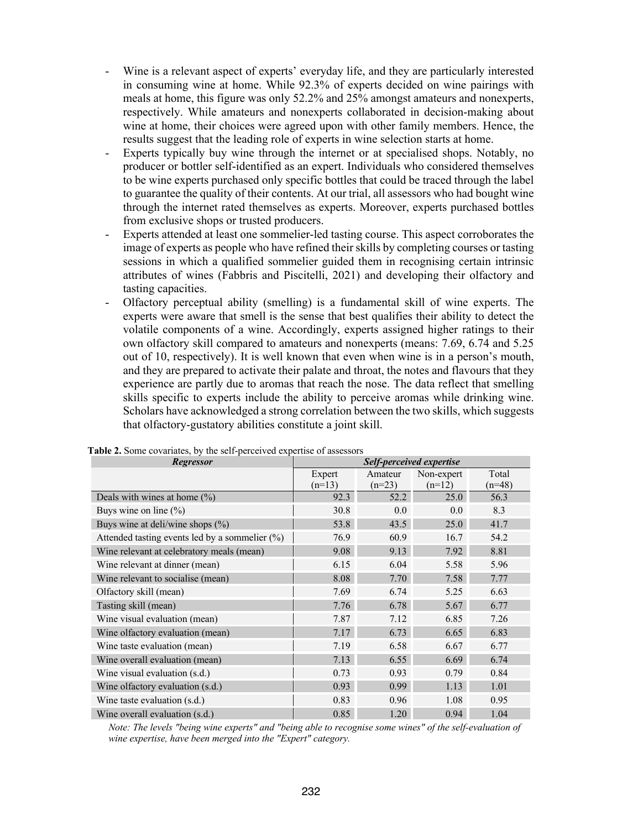- Wine is a relevant aspect of experts' everyday life, and they are particularly interested in consuming wine at home. While 92.3% of experts decided on wine pairings with meals at home, this figure was only 52.2% and 25% amongst amateurs and nonexperts, respectively. While amateurs and nonexperts collaborated in decision-making about wine at home, their choices were agreed upon with other family members. Hence, the results suggest that the leading role of experts in wine selection starts at home.
- Experts typically buy wine through the internet or at specialised shops. Notably, no producer or bottler self-identified as an expert. Individuals who considered themselves to be wine experts purchased only specific bottles that could be traced through the label to guarantee the quality of their contents. At our trial, all assessors who had bought wine through the internet rated themselves as experts. Moreover, experts purchased bottles from exclusive shops or trusted producers.
- Experts attended at least one sommelier-led tasting course. This aspect corroborates the image of experts as people who have refined their skills by completing courses or tasting sessions in which a qualified sommelier guided them in recognising certain intrinsic attributes of wines (Fabbris and Piscitelli, 2021) and developing their olfactory and tasting capacities.
- Olfactory perceptual ability (smelling) is a fundamental skill of wine experts. The experts were aware that smell is the sense that best qualifies their ability to detect the volatile components of a wine. Accordingly, experts assigned higher ratings to their own olfactory skill compared to amateurs and nonexperts (means: 7.69, 6.74 and 5.25 out of 10, respectively). It is well known that even when wine is in a person's mouth, and they are prepared to activate their palate and throat, the notes and flavours that they experience are partly due to aromas that reach the nose. The data reflect that smelling skills specific to experts include the ability to perceive aromas while drinking wine. Scholars have acknowledged a strong correlation between the two skills, which suggests that olfactory-gustatory abilities constitute a joint skill.

| Regressor                                      | Self-perceived expertise |          |            |          |
|------------------------------------------------|--------------------------|----------|------------|----------|
|                                                | Expert                   | Amateur  | Non-expert | Total    |
|                                                | $(n=13)$                 | $(n=23)$ | $(n=12)$   | $(n=48)$ |
| Deals with wines at home $(\%)$                | 92.3                     | 52.2     | 25.0       | 56.3     |
| Buys wine on line $(\%)$                       | 30.8                     | 0.0      | 0.0        | 8.3      |
| Buys wine at deli/wine shops (%)               | 53.8                     | 43.5     | 25.0       | 41.7     |
| Attended tasting events led by a sommelier (%) | 76.9                     | 60.9     | 16.7       | 54.2     |
| Wine relevant at celebratory meals (mean)      | 9.08                     | 9.13     | 7.92       | 8.81     |
| Wine relevant at dinner (mean)                 | 6.15                     | 6.04     | 5.58       | 5.96     |
| Wine relevant to socialise (mean)              | 8.08                     | 7.70     | 7.58       | 7.77     |
| Olfactory skill (mean)                         | 7.69                     | 6.74     | 5.25       | 6.63     |
| Tasting skill (mean)                           | 7.76                     | 6.78     | 5.67       | 6.77     |
| Wine visual evaluation (mean)                  | 7.87                     | 7.12     | 6.85       | 7.26     |
| Wine olfactory evaluation (mean)               | 7.17                     | 6.73     | 6.65       | 6.83     |
| Wine taste evaluation (mean)                   | 7.19                     | 6.58     | 6.67       | 6.77     |
| Wine overall evaluation (mean)                 | 7.13                     | 6.55     | 6.69       | 6.74     |
| Wine visual evaluation (s.d.)                  | 0.73                     | 0.93     | 0.79       | 0.84     |
| Wine olfactory evaluation (s.d.)               | 0.93                     | 0.99     | 1.13       | 1.01     |
| Wine taste evaluation (s.d.)                   | 0.83                     | 0.96     | 1.08       | 0.95     |
| Wine overall evaluation (s.d.)                 | 0.85                     | 1.20     | 0.94       | 1.04     |

**Table 2.** Some covariates, by the self-perceived expertise of assessors

*Note: The levels "being wine experts" and "being able to recognise some wines" of the self-evaluation of wine expertise, have been merged into the "Expert" category.*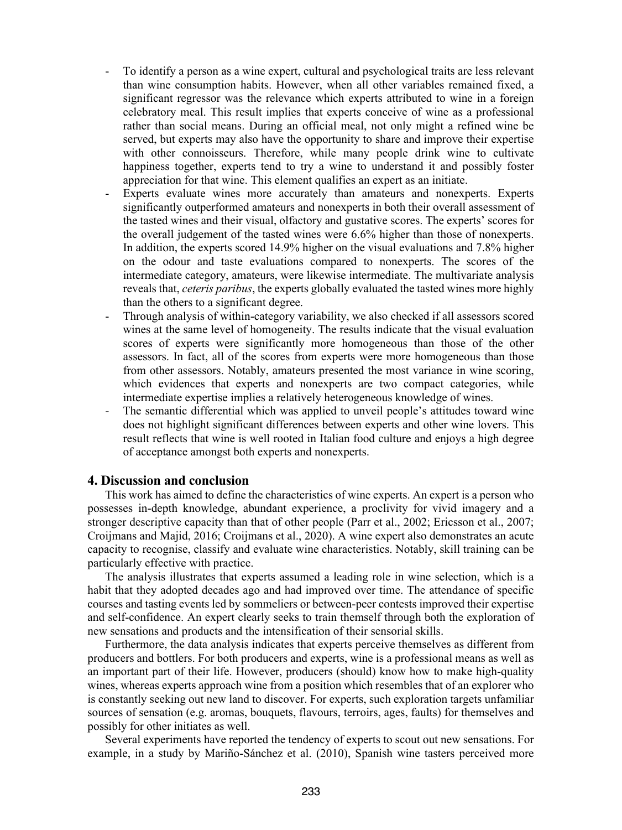- To identify a person as a wine expert, cultural and psychological traits are less relevant than wine consumption habits. However, when all other variables remained fixed, a significant regressor was the relevance which experts attributed to wine in a foreign celebratory meal. This result implies that experts conceive of wine as a professional rather than social means. During an official meal, not only might a refined wine be served, but experts may also have the opportunity to share and improve their expertise with other connoisseurs. Therefore, while many people drink wine to cultivate happiness together, experts tend to try a wine to understand it and possibly foster appreciation for that wine. This element qualifies an expert as an initiate.
- Experts evaluate wines more accurately than amateurs and nonexperts. Experts significantly outperformed amateurs and nonexperts in both their overall assessment of the tasted wines and their visual, olfactory and gustative scores. The experts' scores for the overall judgement of the tasted wines were 6.6% higher than those of nonexperts. In addition, the experts scored 14.9% higher on the visual evaluations and 7.8% higher on the odour and taste evaluations compared to nonexperts. The scores of the intermediate category, amateurs, were likewise intermediate. The multivariate analysis reveals that, *ceteris paribus*, the experts globally evaluated the tasted wines more highly than the others to a significant degree.
- Through analysis of within-category variability, we also checked if all assessors scored wines at the same level of homogeneity. The results indicate that the visual evaluation scores of experts were significantly more homogeneous than those of the other assessors. In fact, all of the scores from experts were more homogeneous than those from other assessors. Notably, amateurs presented the most variance in wine scoring, which evidences that experts and nonexperts are two compact categories, while intermediate expertise implies a relatively heterogeneous knowledge of wines.
- The semantic differential which was applied to unveil people's attitudes toward wine does not highlight significant differences between experts and other wine lovers. This result reflects that wine is well rooted in Italian food culture and enjoys a high degree of acceptance amongst both experts and nonexperts.

## **4. Discussion and conclusion**

This work has aimed to define the characteristics of wine experts. An expert is a person who possesses in-depth knowledge, abundant experience, a proclivity for vivid imagery and a stronger descriptive capacity than that of other people (Parr et al., 2002; Ericsson et al., 2007; Croijmans and Majid, 2016; Croijmans et al., 2020). A wine expert also demonstrates an acute capacity to recognise, classify and evaluate wine characteristics. Notably, skill training can be particularly effective with practice.

The analysis illustrates that experts assumed a leading role in wine selection, which is a habit that they adopted decades ago and had improved over time. The attendance of specific courses and tasting events led by sommeliers or between-peer contests improved their expertise and self-confidence. An expert clearly seeks to train themself through both the exploration of new sensations and products and the intensification of their sensorial skills.

Furthermore, the data analysis indicates that experts perceive themselves as different from producers and bottlers. For both producers and experts, wine is a professional means as well as an important part of their life. However, producers (should) know how to make high-quality wines, whereas experts approach wine from a position which resembles that of an explorer who is constantly seeking out new land to discover. For experts, such exploration targets unfamiliar sources of sensation (e.g. aromas, bouquets, flavours, terroirs, ages, faults) for themselves and possibly for other initiates as well.

Several experiments have reported the tendency of experts to scout out new sensations. For example, in a study by Mariño-Sánchez et al. (2010), Spanish wine tasters perceived more